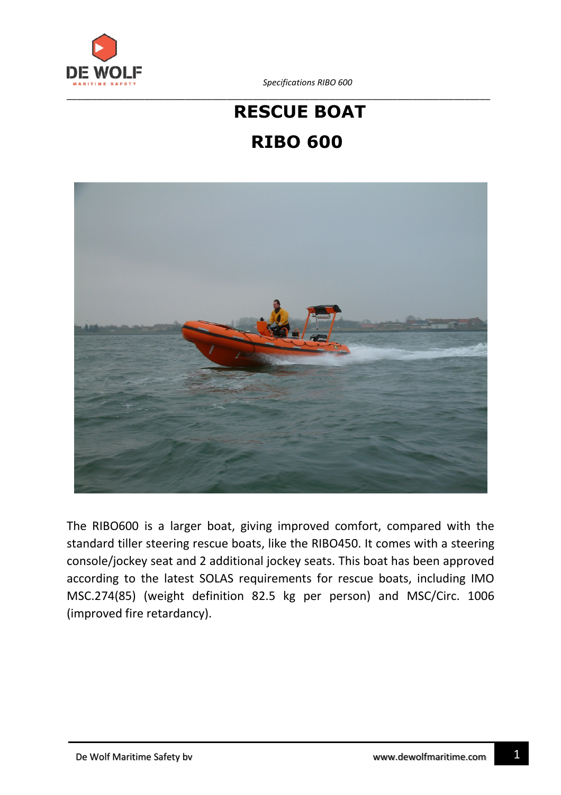

*Specifications RIBO 600*

## **RESCUE BOAT RIBO 600**



The RIBO600 is a larger boat, giving improved comfort, compared with the standard tiller steering rescue boats, like the RIBO450. It comes with a steering console/jockey seat and 2 additional jockey seats. This boat has been approved according to the latest SOLAS requirements for rescue boats, including IMO MSC.274(85) (weight definition 82.5 kg per person) and MSC/Circ. 1006 (improved fire retardancy).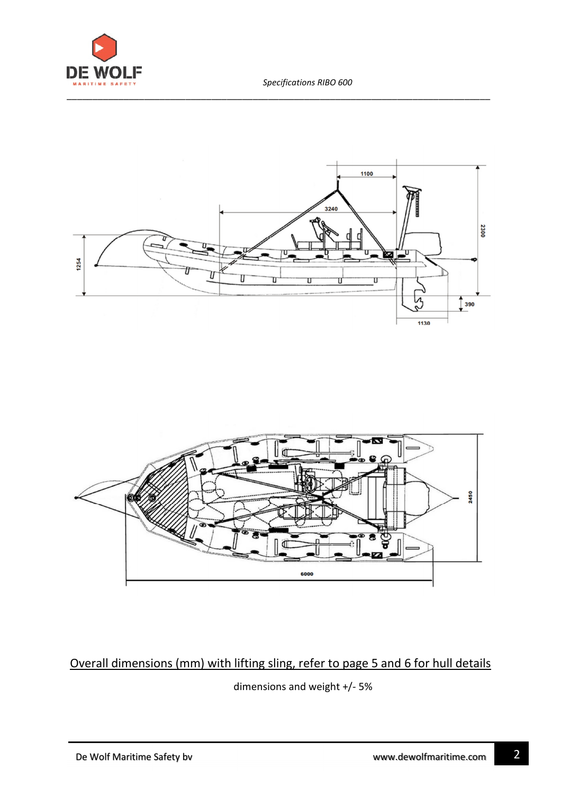





Overall dimensions (mm) with lifting sling, refer to page 5 and 6 for hull details

dimensions and weight +/- 5%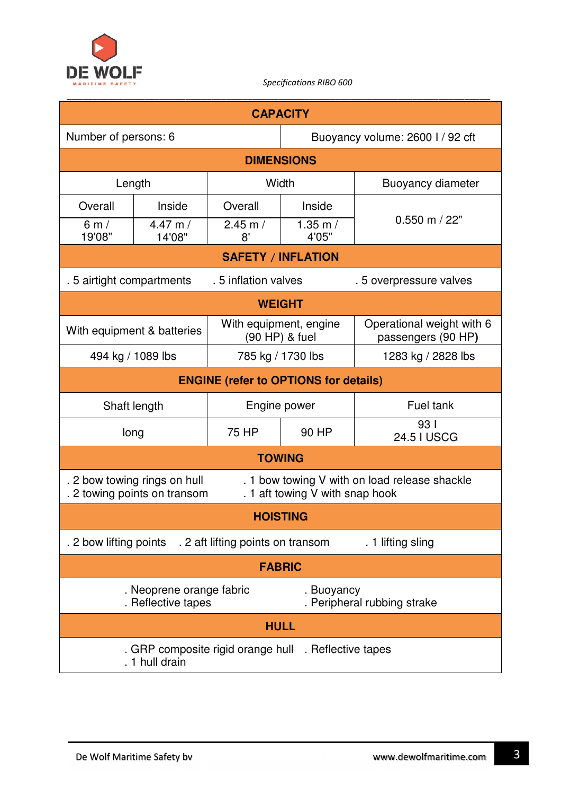

| <b>CAPACITY</b>                                                                                                                                  |                                                |                                          |                                           |                                                 |  |  |  |
|--------------------------------------------------------------------------------------------------------------------------------------------------|------------------------------------------------|------------------------------------------|-------------------------------------------|-------------------------------------------------|--|--|--|
| Number of persons: 6                                                                                                                             |                                                |                                          |                                           | Buoyancy volume: 2600 I / 92 cft                |  |  |  |
| <b>DIMENSIONS</b>                                                                                                                                |                                                |                                          |                                           |                                                 |  |  |  |
| Length                                                                                                                                           |                                                | Width                                    |                                           | <b>Buoyancy diameter</b>                        |  |  |  |
| Overall                                                                                                                                          | Inside                                         | Overall                                  | Inside                                    |                                                 |  |  |  |
| 6m/<br>19'08"                                                                                                                                    | 4.47 m/<br>14'08"                              | $2.45$ m $/$<br>8'                       | 1.35 m/<br>4'05"                          | $0.550$ m $/22"$                                |  |  |  |
| <b>SAFETY / INFLATION</b>                                                                                                                        |                                                |                                          |                                           |                                                 |  |  |  |
| .5 airtight compartments                                                                                                                         |                                                | .5 inflation valves                      |                                           | .5 overpressure valves                          |  |  |  |
| <b>WEIGHT</b>                                                                                                                                    |                                                |                                          |                                           |                                                 |  |  |  |
| With equipment & batteries                                                                                                                       |                                                | With equipment, engine<br>(90 HP) & fuel |                                           | Operational weight with 6<br>passengers (90 HP) |  |  |  |
| 494 kg / 1089 lbs                                                                                                                                |                                                | 785 kg / 1730 lbs                        |                                           | 1283 kg / 2828 lbs                              |  |  |  |
| <b>ENGINE (refer to OPTIONS for details)</b>                                                                                                     |                                                |                                          |                                           |                                                 |  |  |  |
| Shaft length                                                                                                                                     |                                                | Engine power                             |                                           | Fuel tank                                       |  |  |  |
| long                                                                                                                                             |                                                | 75 HP                                    | 90 HP                                     | 931<br>24.5 I USCG                              |  |  |  |
| <b>TOWING</b>                                                                                                                                    |                                                |                                          |                                           |                                                 |  |  |  |
| . 2 bow towing rings on hull<br>. 1 bow towing V with on load release shackle<br>. 1 aft towing V with snap hook<br>. 2 towing points on transom |                                                |                                          |                                           |                                                 |  |  |  |
| <b>HOISTING</b>                                                                                                                                  |                                                |                                          |                                           |                                                 |  |  |  |
| . 2 bow lifting points<br>. 2 aft lifting points on transom<br>. 1 lifting sling                                                                 |                                                |                                          |                                           |                                                 |  |  |  |
| <b>FABRIC</b>                                                                                                                                    |                                                |                                          |                                           |                                                 |  |  |  |
|                                                                                                                                                  | . Neoprene orange fabric<br>. Reflective tapes |                                          | . Buoyancy<br>. Peripheral rubbing strake |                                                 |  |  |  |
| <b>HULL</b>                                                                                                                                      |                                                |                                          |                                           |                                                 |  |  |  |
| . GRP composite rigid orange hull . Reflective tapes<br>1 hull drain                                                                             |                                                |                                          |                                           |                                                 |  |  |  |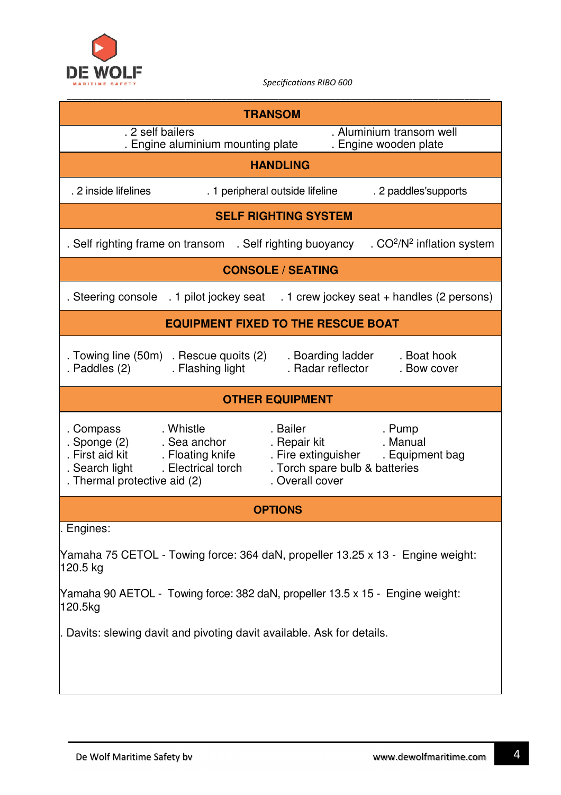

| <b>TRANSOM</b>                                                                                                |                                                             |                                                                                                      |                                                                                     |  |  |  |  |
|---------------------------------------------------------------------------------------------------------------|-------------------------------------------------------------|------------------------------------------------------------------------------------------------------|-------------------------------------------------------------------------------------|--|--|--|--|
| . 2 self bailers                                                                                              |                                                             |                                                                                                      | . Aluminium transom well<br>. Engine wooden plate                                   |  |  |  |  |
| . Engine aluminium mounting plate                                                                             |                                                             |                                                                                                      |                                                                                     |  |  |  |  |
| <b>HANDLING</b>                                                                                               |                                                             |                                                                                                      |                                                                                     |  |  |  |  |
| . 2 inside lifelines                                                                                          |                                                             | . 1 peripheral outside lifeline                                                                      | . 2 paddles'supports                                                                |  |  |  |  |
| <b>SELF RIGHTING SYSTEM</b>                                                                                   |                                                             |                                                                                                      |                                                                                     |  |  |  |  |
| . $CO2/N2$ inflation system<br>. Self righting frame on transom . Self righting buoyancy                      |                                                             |                                                                                                      |                                                                                     |  |  |  |  |
| <b>CONSOLE / SEATING</b>                                                                                      |                                                             |                                                                                                      |                                                                                     |  |  |  |  |
|                                                                                                               |                                                             |                                                                                                      | . Steering console . 1 pilot jockey seat . 1 crew jockey seat + handles (2 persons) |  |  |  |  |
| <b>EQUIPMENT FIXED TO THE RESCUE BOAT</b>                                                                     |                                                             |                                                                                                      |                                                                                     |  |  |  |  |
| . Paddles (2)                                                                                                 | . Towing line (50m) . Rescue quoits (2)<br>. Flashing light | . Boarding ladder<br>. Radar reflector                                                               | . Boat hook<br>. Bow cover                                                          |  |  |  |  |
| <b>OTHER EQUIPMENT</b>                                                                                        |                                                             |                                                                                                      |                                                                                     |  |  |  |  |
| . Compass<br>. Sponge (2)<br>First aid kit . Floating knife<br>. Search light<br>. Thermal protective aid (2) | . Whistle<br>. Sea anchor<br>. Electrical torch             | . Bailer<br>. Repair kit<br>. Fire extinguisher<br>. Torch spare bulb & batteries<br>. Overall cover | . Pump<br>. Manual<br>. Equipment bag                                               |  |  |  |  |
|                                                                                                               |                                                             | <b>OPTIONS</b>                                                                                       |                                                                                     |  |  |  |  |
| . Engines:                                                                                                    |                                                             |                                                                                                      |                                                                                     |  |  |  |  |
| Yamaha 75 CETOL - Towing force: 364 daN, propeller 13.25 x 13 - Engine weight:<br>120.5 kg                    |                                                             |                                                                                                      |                                                                                     |  |  |  |  |
| Yamaha 90 AETOL - Towing force: 382 daN, propeller 13.5 x 15 - Engine weight:<br>120.5kg                      |                                                             |                                                                                                      |                                                                                     |  |  |  |  |
| Davits: slewing davit and pivoting davit available. Ask for details.                                          |                                                             |                                                                                                      |                                                                                     |  |  |  |  |
|                                                                                                               |                                                             |                                                                                                      |                                                                                     |  |  |  |  |
|                                                                                                               |                                                             |                                                                                                      |                                                                                     |  |  |  |  |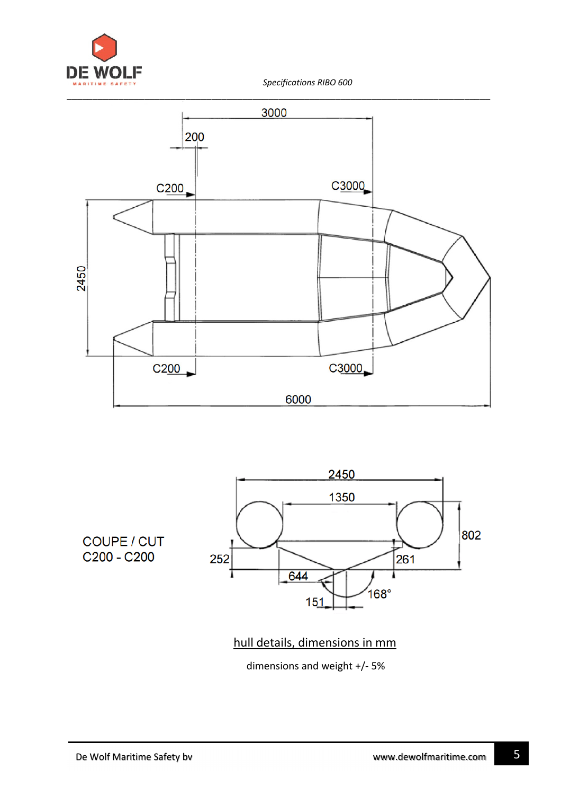





hull details, dimensions in mm

dimensions and weight +/- 5%